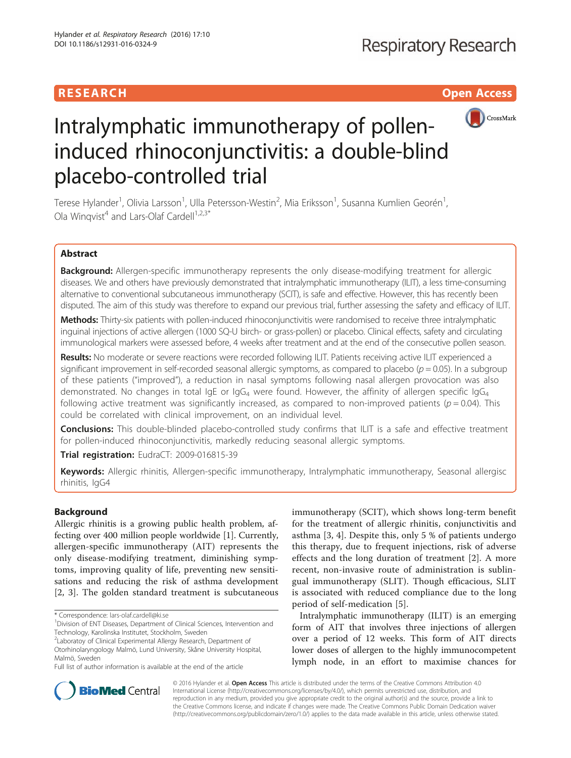# **RESEARCH CHILD CONTROL** CONTROL CONTROL CONTROL CONTROL CONTROL CONTROL CONTROL CONTROL CONTROL CONTROL CONTROL CONTROL CONTROL CONTROL CONTROL CONTROL CONTROL CONTROL CONTROL CONTROL CONTROL CONTROL CONTROL CONTROL CONTR



# Intralymphatic immunotherapy of polleninduced rhinoconjunctivitis: a double-blind placebo-controlled trial

Terese Hylander<sup>1</sup>, Olivia Larsson<sup>1</sup>, Ulla Petersson-Westin<sup>2</sup>, Mia Eriksson<sup>1</sup>, Susanna Kumlien Georén<sup>1</sup> , Ola Winqvist<sup>4</sup> and Lars-Olaf Cardell<sup>1,2,3\*</sup>

# Abstract

Background: Allergen-specific immunotherapy represents the only disease-modifying treatment for allergic diseases. We and others have previously demonstrated that intralymphatic immunotherapy (ILIT), a less time-consuming alternative to conventional subcutaneous immunotherapy (SCIT), is safe and effective. However, this has recently been disputed. The aim of this study was therefore to expand our previous trial, further assessing the safety and efficacy of ILIT.

Methods: Thirty-six patients with pollen-induced rhinoconjunctivitis were randomised to receive three intralymphatic inguinal injections of active allergen (1000 SQ-U birch- or grass-pollen) or placebo. Clinical effects, safety and circulating immunological markers were assessed before, 4 weeks after treatment and at the end of the consecutive pollen season.

Results: No moderate or severe reactions were recorded following ILIT. Patients receiving active ILIT experienced a significant improvement in self-recorded seasonal allergic symptoms, as compared to placebo ( $p = 0.05$ ). In a subgroup of these patients ("improved"), a reduction in nasal symptoms following nasal allergen provocation was also demonstrated. No changes in total IgE or IgG<sub>4</sub> were found. However, the affinity of allergen specific IgG<sub>4</sub> following active treatment was significantly increased, as compared to non-improved patients ( $p = 0.04$ ). This could be correlated with clinical improvement, on an individual level.

Conclusions: This double-blinded placebo-controlled study confirms that ILIT is a safe and effective treatment for pollen-induced rhinoconjunctivitis, markedly reducing seasonal allergic symptoms.

Trial registration: EudraCT: [2009-016815-39](https://clinicaltrials.gov/ct2/show/NCT02423707)

Keywords: Allergic rhinitis, Allergen-specific immunotherapy, Intralymphatic immunotherapy, Seasonal allergisc rhinitis, IgG4

## Background

Allergic rhinitis is a growing public health problem, affecting over 400 million people worldwide [[1\]](#page-8-0). Currently, allergen-specific immunotherapy (AIT) represents the only disease-modifying treatment, diminishing symptoms, improving quality of life, preventing new sensitisations and reducing the risk of asthma development [[2, 3](#page-8-0)]. The golden standard treatment is subcutaneous

<sup>2</sup>Laboratoy of Clinical Experimental Allergy Research, Department of Otorhinolaryngology Malmö, Lund University, Skåne University Hospital, Malmö, Sweden

immunotherapy (SCIT), which shows long-term benefit for the treatment of allergic rhinitis, conjunctivitis and asthma [[3, 4\]](#page-8-0). Despite this, only 5 % of patients undergo this therapy, due to frequent injections, risk of adverse effects and the long duration of treatment [[2\]](#page-8-0). A more recent, non-invasive route of administration is sublingual immunotherapy (SLIT). Though efficacious, SLIT is associated with reduced compliance due to the long period of self-medication [[5\]](#page-8-0).

Intralymphatic immunotherapy (ILIT) is an emerging form of AIT that involves three injections of allergen over a period of 12 weeks. This form of AIT directs lower doses of allergen to the highly immunocompetent lymph node, in an effort to maximise chances for



© 2016 Hylander et al. Open Access This article is distributed under the terms of the Creative Commons Attribution 4.0 International License [\(http://creativecommons.org/licenses/by/4.0/](http://creativecommons.org/licenses/by/4.0/)), which permits unrestricted use, distribution, and reproduction in any medium, provided you give appropriate credit to the original author(s) and the source, provide a link to the Creative Commons license, and indicate if changes were made. The Creative Commons Public Domain Dedication waiver [\(http://creativecommons.org/publicdomain/zero/1.0/](http://creativecommons.org/publicdomain/zero/1.0/)) applies to the data made available in this article, unless otherwise stated.

<sup>\*</sup> Correspondence: [lars-olaf.cardell@ki.se](mailto:lars-olaf.cardell@ki.se) <sup>1</sup>

<sup>&</sup>lt;sup>1</sup> Division of ENT Diseases, Department of Clinical Sciences, Intervention and Technology, Karolinska Institutet, Stockholm, Sweden

Full list of author information is available at the end of the article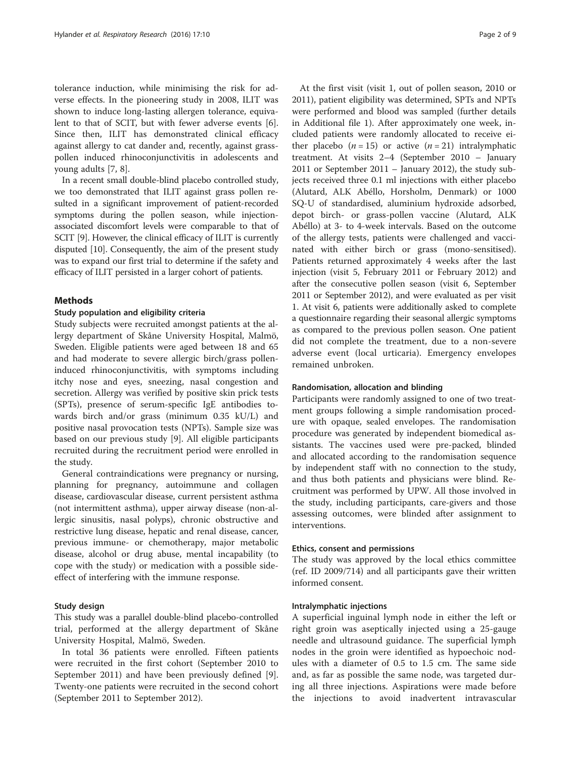tolerance induction, while minimising the risk for adverse effects. In the pioneering study in 2008, ILIT was shown to induce long-lasting allergen tolerance, equivalent to that of SCIT, but with fewer adverse events [\[6](#page-8-0)]. Since then, ILIT has demonstrated clinical efficacy against allergy to cat dander and, recently, against grasspollen induced rhinoconjunctivitis in adolescents and young adults [\[7](#page-8-0), [8](#page-8-0)].

In a recent small double-blind placebo controlled study, we too demonstrated that ILIT against grass pollen resulted in a significant improvement of patient-recorded symptoms during the pollen season, while injectionassociated discomfort levels were comparable to that of SCIT [[9](#page-8-0)]. However, the clinical efficacy of ILIT is currently disputed [\[10\]](#page-8-0). Consequently, the aim of the present study was to expand our first trial to determine if the safety and efficacy of ILIT persisted in a larger cohort of patients.

#### Methods

#### Study population and eligibility criteria

Study subjects were recruited amongst patients at the allergy department of Skåne University Hospital, Malmö, Sweden. Eligible patients were aged between 18 and 65 and had moderate to severe allergic birch/grass polleninduced rhinoconjunctivitis, with symptoms including itchy nose and eyes, sneezing, nasal congestion and secretion. Allergy was verified by positive skin prick tests (SPTs), presence of serum-specific IgE antibodies towards birch and/or grass (minimum 0.35 kU/L) and positive nasal provocation tests (NPTs). Sample size was based on our previous study [\[9](#page-8-0)]. All eligible participants recruited during the recruitment period were enrolled in the study.

General contraindications were pregnancy or nursing, planning for pregnancy, autoimmune and collagen disease, cardiovascular disease, current persistent asthma (not intermittent asthma), upper airway disease (non-allergic sinusitis, nasal polyps), chronic obstructive and restrictive lung disease, hepatic and renal disease, cancer, previous immune- or chemotherapy, major metabolic disease, alcohol or drug abuse, mental incapability (to cope with the study) or medication with a possible sideeffect of interfering with the immune response.

#### Study design

This study was a parallel double-blind placebo-controlled trial, performed at the allergy department of Skåne University Hospital, Malmö, Sweden.

In total 36 patients were enrolled. Fifteen patients were recruited in the first cohort (September 2010 to September 2011) and have been previously defined [\[9](#page-8-0)]. Twenty-one patients were recruited in the second cohort (September 2011 to September 2012).

At the first visit (visit 1, out of pollen season, 2010 or 2011), patient eligibility was determined, SPTs and NPTs were performed and blood was sampled (further details in Additional file [1\)](#page-8-0). After approximately one week, included patients were randomly allocated to receive either placebo  $(n = 15)$  or active  $(n = 21)$  intralymphatic treatment. At visits 2–4 (September 2010 – January 2011 or September 2011 – January 2012), the study subjects received three 0.1 ml injections with either placebo (Alutard, ALK Abéllo, Horsholm, Denmark) or 1000 SQ-U of standardised, aluminium hydroxide adsorbed, depot birch- or grass-pollen vaccine (Alutard, ALK Abéllo) at 3- to 4-week intervals. Based on the outcome of the allergy tests, patients were challenged and vaccinated with either birch or grass (mono-sensitised). Patients returned approximately 4 weeks after the last injection (visit 5, February 2011 or February 2012) and after the consecutive pollen season (visit 6, September 2011 or September 2012), and were evaluated as per visit 1. At visit 6, patients were additionally asked to complete a questionnaire regarding their seasonal allergic symptoms as compared to the previous pollen season. One patient did not complete the treatment, due to a non-severe adverse event (local urticaria). Emergency envelopes remained unbroken.

#### Randomisation, allocation and blinding

Participants were randomly assigned to one of two treatment groups following a simple randomisation procedure with opaque, sealed envelopes. The randomisation procedure was generated by independent biomedical assistants. The vaccines used were pre-packed, blinded and allocated according to the randomisation sequence by independent staff with no connection to the study, and thus both patients and physicians were blind. Recruitment was performed by UPW. All those involved in the study, including participants, care-givers and those assessing outcomes, were blinded after assignment to interventions.

#### Ethics, consent and permissions

The study was approved by the local ethics committee (ref. ID 2009/714) and all participants gave their written informed consent.

# Intralymphatic injections

A superficial inguinal lymph node in either the left or right groin was aseptically injected using a 25-gauge needle and ultrasound guidance. The superficial lymph nodes in the groin were identified as hypoechoic nodules with a diameter of 0.5 to 1.5 cm. The same side and, as far as possible the same node, was targeted during all three injections. Aspirations were made before the injections to avoid inadvertent intravascular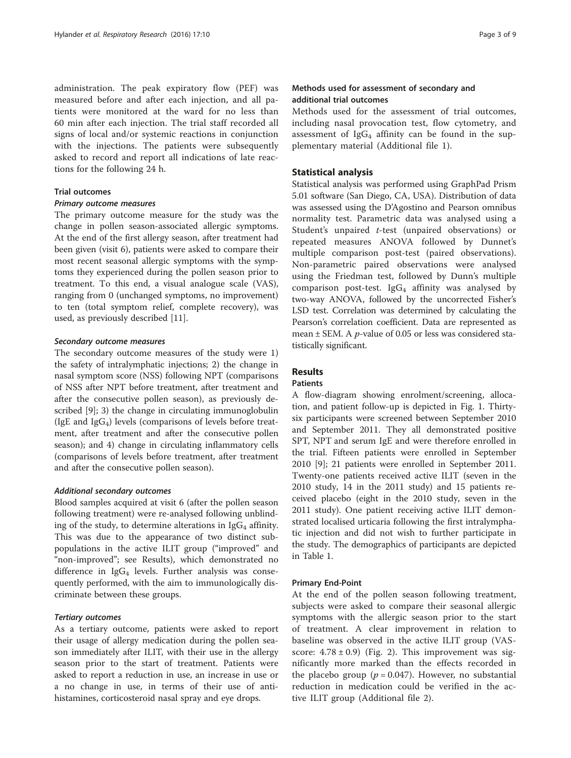administration. The peak expiratory flow (PEF) was measured before and after each injection, and all patients were monitored at the ward for no less than 60 min after each injection. The trial staff recorded all signs of local and/or systemic reactions in conjunction with the injections. The patients were subsequently asked to record and report all indications of late reactions for the following 24 h.

## Trial outcomes

#### Primary outcome measures

The primary outcome measure for the study was the change in pollen season-associated allergic symptoms. At the end of the first allergy season, after treatment had been given (visit 6), patients were asked to compare their most recent seasonal allergic symptoms with the symptoms they experienced during the pollen season prior to treatment. To this end, a visual analogue scale (VAS), ranging from 0 (unchanged symptoms, no improvement) to ten (total symptom relief, complete recovery), was used, as previously described [\[11\]](#page-8-0).

#### Secondary outcome measures

The secondary outcome measures of the study were 1) the safety of intralymphatic injections; 2) the change in nasal symptom score (NSS) following NPT (comparisons of NSS after NPT before treatment, after treatment and after the consecutive pollen season), as previously described [\[9](#page-8-0)]; 3) the change in circulating immunoglobulin (IgE and Ig $G_4$ ) levels (comparisons of levels before treatment, after treatment and after the consecutive pollen season); and 4) change in circulating inflammatory cells (comparisons of levels before treatment, after treatment and after the consecutive pollen season).

## Additional secondary outcomes

Blood samples acquired at visit 6 (after the pollen season following treatment) were re-analysed following unblinding of the study, to determine alterations in  $IgG_4$  affinity. This was due to the appearance of two distinct subpopulations in the active ILIT group ("improved" and "non-improved"; see Results), which demonstrated no difference in  $\lg G_4$  levels. Further analysis was consequently performed, with the aim to immunologically discriminate between these groups.

## Tertiary outcomes

As a tertiary outcome, patients were asked to report their usage of allergy medication during the pollen season immediately after ILIT, with their use in the allergy season prior to the start of treatment. Patients were asked to report a reduction in use, an increase in use or a no change in use, in terms of their use of antihistamines, corticosteroid nasal spray and eye drops.

## Methods used for assessment of secondary and additional trial outcomes

Methods used for the assessment of trial outcomes, including nasal provocation test, flow cytometry, and assessment of  $IgG_4$  affinity can be found in the supplementary material (Additional file [1](#page-8-0)).

#### Statistical analysis

Statistical analysis was performed using GraphPad Prism 5.01 software (San Diego, CA, USA). Distribution of data was assessed using the D'Agostino and Pearson omnibus normality test. Parametric data was analysed using a Student's unpaired t-test (unpaired observations) or repeated measures ANOVA followed by Dunnet's multiple comparison post-test (paired observations). Non-parametric paired observations were analysed using the Friedman test, followed by Dunn's multiple comparison post-test. Ig $G_4$  affinity was analysed by two-way ANOVA, followed by the uncorrected Fisher's LSD test. Correlation was determined by calculating the Pearson's correlation coefficient. Data are represented as mean  $\pm$  SEM. A *p*-value of 0.05 or less was considered statistically significant.

# Results

#### Patients

A flow-diagram showing enrolment/screening, allocation, and patient follow-up is depicted in Fig. [1.](#page-3-0) Thirtysix participants were screened between September 2010 and September 2011. They all demonstrated positive SPT, NPT and serum IgE and were therefore enrolled in the trial. Fifteen patients were enrolled in September 2010 [[9\]](#page-8-0); 21 patients were enrolled in September 2011. Twenty-one patients received active ILIT (seven in the 2010 study, 14 in the 2011 study) and 15 patients received placebo (eight in the 2010 study, seven in the 2011 study). One patient receiving active ILIT demonstrated localised urticaria following the first intralymphatic injection and did not wish to further participate in the study. The demographics of participants are depicted in Table [1.](#page-3-0)

#### Primary End-Point

At the end of the pollen season following treatment, subjects were asked to compare their seasonal allergic symptoms with the allergic season prior to the start of treatment. A clear improvement in relation to baseline was observed in the active ILIT group (VASscore:  $4.78 \pm 0.9$ ) (Fig. [2](#page-3-0)). This improvement was significantly more marked than the effects recorded in the placebo group ( $p = 0.047$ ). However, no substantial reduction in medication could be verified in the active ILIT group (Additional file [2\)](#page-8-0).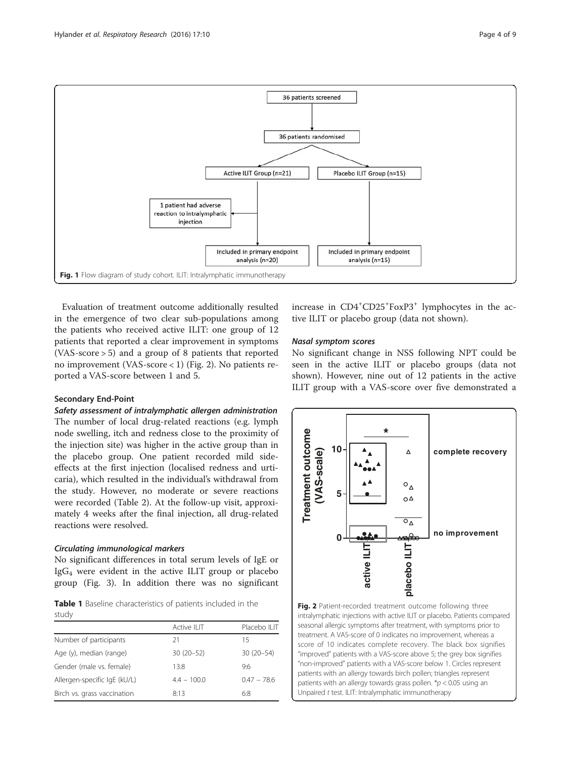

<span id="page-3-0"></span>

Evaluation of treatment outcome additionally resulted in the emergence of two clear sub-populations among the patients who received active ILIT: one group of 12 patients that reported a clear improvement in symptoms (VAS-score > 5) and a group of 8 patients that reported no improvement (VAS-score < 1) (Fig. 2). No patients reported a VAS-score between 1 and 5.

### Secondary End-Point

Safety assessment of intralymphatic allergen administration The number of local drug-related reactions (e.g. lymph node swelling, itch and redness close to the proximity of the injection site) was higher in the active group than in the placebo group. One patient recorded mild sideeffects at the first injection (localised redness and urticaria), which resulted in the individual's withdrawal from the study. However, no moderate or severe reactions were recorded (Table [2\)](#page-4-0). At the follow-up visit, approximately 4 weeks after the final injection, all drug-related reactions were resolved.

## Circulating immunological markers

No significant differences in total serum levels of IgE or  $IgG_4$  were evident in the active ILIT group or placebo group (Fig. [3](#page-5-0)). In addition there was no significant

Table 1 Baseline characteristics of patients included in the study

|                              | Active ILIT   | Placebo ILIT  |
|------------------------------|---------------|---------------|
| Number of participants       | 21            | 15            |
| Age (y), median (range)      | $30(20-52)$   | $30(20-54)$   |
| Gender (male vs. female)     | 13:8          | 9:6           |
| Allergen-specific IgE (kU/L) | $4.4 - 100.0$ | $0.47 - 78.6$ |
| Birch vs. grass vaccination  | 8:13          | 6:8           |

increase in CD4<sup>+</sup>CD25<sup>+</sup>FoxP3<sup>+</sup> lymphocytes in the active ILIT or placebo group (data not shown).

## Nasal symptom scores

No significant change in NSS following NPT could be seen in the active ILIT or placebo groups (data not shown). However, nine out of 12 patients in the active ILIT group with a VAS-score over five demonstrated a



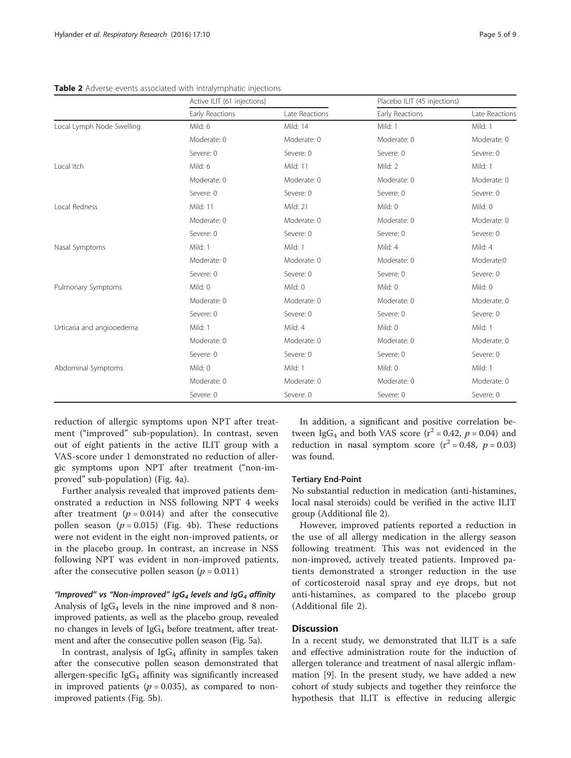<span id="page-4-0"></span>Table 2 Adverse events associated with intralymphatic injections

|                           | Active ILIT (61 injections) |                | Placebo ILIT (45 injections) |                |
|---------------------------|-----------------------------|----------------|------------------------------|----------------|
|                           | Early Reactions             | Late Reactions | Early Reactions              | Late Reactions |
| Local Lymph Node Swelling | Mild: 6                     | Mild: 14       | Mild: 1                      | Mild: 1        |
|                           | Moderate: 0                 | Moderate: 0    | Moderate: 0                  | Moderate: 0    |
|                           | Severe: 0                   | Severe: 0      | Severe: 0                    | Severe: 0      |
| Local Itch                | Mild: 6                     | Mild: 11       | Mild: 2                      | Mild: 1        |
|                           | Moderate: 0                 | Moderate: 0    | Moderate: 0                  | Moderate: 0    |
|                           | Severe: 0                   | Severe: 0      | Severe: 0                    | Severe: 0      |
| Local Redness             | Mild: 11                    | Mild: 21       | Mild: 0                      | Mild: 0        |
|                           | Moderate: 0                 | Moderate: 0    | Moderate: 0                  | Moderate: 0    |
|                           | Severe: 0                   | Severe: 0      | Severe: 0                    | Severe: 0      |
| Nasal Symptoms            | Mild: 1                     | Mild: 1        | Mild: 4                      | Mild: 4        |
|                           | Moderate: 0                 | Moderate: 0    | Moderate: 0                  | Moderate:0     |
|                           | Severe: 0                   | Severe: 0      | Severe: 0                    | Severe: 0      |
| Pulmonary Symptoms        | Mild: 0                     | Mild: 0        | Mild: 0                      | Mild: 0        |
|                           | Moderate: 0                 | Moderate: 0    | Moderate: 0                  | Moderate: 0    |
|                           | Severe: 0                   | Severe: 0      | Severe: 0                    | Severe: 0      |
| Urticaria and angiooedema | Mild: 1                     | Mild: 4        | Mild: 0                      | Mild: 1        |
|                           | Moderate: 0                 | Moderate: 0    | Moderate: 0                  | Moderate: 0    |
|                           | Severe: 0                   | Severe: 0      | Severe: 0                    | Severe: 0      |
| Abdominal Symptoms        | Mild: 0                     | Mild: 1        | Mild: 0                      | Mild: 1        |
|                           | Moderate: 0                 | Moderate: 0    | Moderate: 0                  | Moderate: 0    |
|                           | Severe: 0                   | Severe: 0      | Severe: 0                    | Severe: 0      |

reduction of allergic symptoms upon NPT after treatment ("improved" sub-population). In contrast, seven out of eight patients in the active ILIT group with a VAS-score under 1 demonstrated no reduction of allergic symptoms upon NPT after treatment ("non-improved" sub-population) (Fig. [4a\)](#page-6-0).

Further analysis revealed that improved patients demonstrated a reduction in NSS following NPT 4 weeks after treatment  $(p = 0.014)$  and after the consecutive pollen season ( $p = 0.015$ ) (Fig. [4b\)](#page-6-0). These reductions were not evident in the eight non-improved patients, or in the placebo group. In contrast, an increase in NSS following NPT was evident in non-improved patients, after the consecutive pollen season ( $p = 0.011$ )

"Improved" vs "Non-improved" IgG<sub>4</sub> levels and IgG<sub>4</sub> affinity Analysis of  $IgG_4$  levels in the nine improved and 8 nonimproved patients, as well as the placebo group, revealed no changes in levels of  $IgG_4$  before treatment, after treatment and after the consecutive pollen season (Fig. [5a](#page-7-0)).

In contrast, analysis of  $\lg G_4$  affinity in samples taken after the consecutive pollen season demonstrated that allergen-specific  $IgG_4$  affinity was significantly increased in improved patients ( $p = 0.035$ ), as compared to nonimproved patients (Fig. [5b](#page-7-0)).

In addition, a significant and positive correlation between IgG<sub>4</sub> and both VAS score ( $r^2$  = 0.42,  $p$  = 0.04) and reduction in nasal symptom score  $(r^2 = 0.48, p = 0.03)$ was found.

#### Tertiary End-Point

No substantial reduction in medication (anti-histamines, local nasal steroids) could be verified in the active ILIT group (Additional file [2](#page-8-0)).

However, improved patients reported a reduction in the use of all allergy medication in the allergy season following treatment. This was not evidenced in the non-improved, actively treated patients. Improved patients demonstrated a stronger reduction in the use of corticosteroid nasal spray and eye drops, but not anti-histamines, as compared to the placebo group (Additional file [2\)](#page-8-0).

## **Discussion**

In a recent study, we demonstrated that ILIT is a safe and effective administration route for the induction of allergen tolerance and treatment of nasal allergic inflammation [[9\]](#page-8-0). In the present study, we have added a new cohort of study subjects and together they reinforce the hypothesis that ILIT is effective in reducing allergic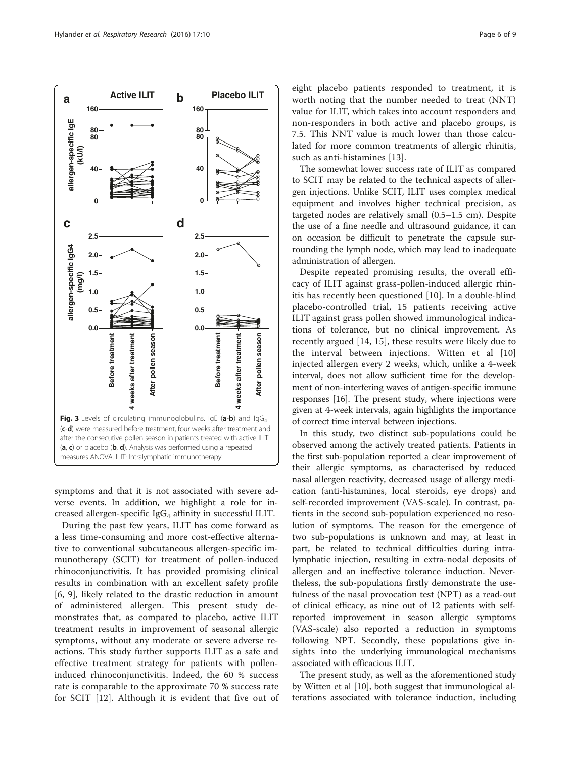<span id="page-5-0"></span>

symptoms and that it is not associated with severe adverse events. In addition, we highlight a role for increased allergen-specific  $IgG_4$  affinity in successful ILIT.

During the past few years, ILIT has come forward as a less time-consuming and more cost-effective alternative to conventional subcutaneous allergen-specific immunotherapy (SCIT) for treatment of pollen-induced rhinoconjunctivitis. It has provided promising clinical results in combination with an excellent safety profile [[6, 9\]](#page-8-0), likely related to the drastic reduction in amount of administered allergen. This present study demonstrates that, as compared to placebo, active ILIT treatment results in improvement of seasonal allergic symptoms, without any moderate or severe adverse reactions. This study further supports ILIT as a safe and effective treatment strategy for patients with polleninduced rhinoconjunctivitis. Indeed, the 60 % success rate is comparable to the approximate 70 % success rate for SCIT [[12\]](#page-8-0). Although it is evident that five out of

eight placebo patients responded to treatment, it is worth noting that the number needed to treat (NNT) value for ILIT, which takes into account responders and non-responders in both active and placebo groups, is 7.5. This NNT value is much lower than those calculated for more common treatments of allergic rhinitis, such as anti-histamines [\[13](#page-8-0)].

The somewhat lower success rate of ILIT as compared to SCIT may be related to the technical aspects of allergen injections. Unlike SCIT, ILIT uses complex medical equipment and involves higher technical precision, as targeted nodes are relatively small (0.5–1.5 cm). Despite the use of a fine needle and ultrasound guidance, it can on occasion be difficult to penetrate the capsule surrounding the lymph node, which may lead to inadequate administration of allergen.

Despite repeated promising results, the overall efficacy of ILIT against grass-pollen-induced allergic rhinitis has recently been questioned [[10\]](#page-8-0). In a double-blind placebo-controlled trial, 15 patients receiving active ILIT against grass pollen showed immunological indications of tolerance, but no clinical improvement. As recently argued [[14, 15\]](#page-8-0), these results were likely due to the interval between injections. Witten et al [\[10](#page-8-0)] injected allergen every 2 weeks, which, unlike a 4-week interval, does not allow sufficient time for the development of non-interfering waves of antigen-specific immune responses [\[16\]](#page-8-0). The present study, where injections were given at 4-week intervals, again highlights the importance of correct time interval between injections.

In this study, two distinct sub-populations could be observed among the actively treated patients. Patients in the first sub-population reported a clear improvement of their allergic symptoms, as characterised by reduced nasal allergen reactivity, decreased usage of allergy medication (anti-histamines, local steroids, eye drops) and self-recorded improvement (VAS-scale). In contrast, patients in the second sub-population experienced no resolution of symptoms. The reason for the emergence of two sub-populations is unknown and may, at least in part, be related to technical difficulties during intralymphatic injection, resulting in extra-nodal deposits of allergen and an ineffective tolerance induction. Nevertheless, the sub-populations firstly demonstrate the usefulness of the nasal provocation test (NPT) as a read-out of clinical efficacy, as nine out of 12 patients with selfreported improvement in season allergic symptoms (VAS-scale) also reported a reduction in symptoms following NPT. Secondly, these populations give insights into the underlying immunological mechanisms associated with efficacious ILIT.

The present study, as well as the aforementioned study by Witten et al [\[10](#page-8-0)], both suggest that immunological alterations associated with tolerance induction, including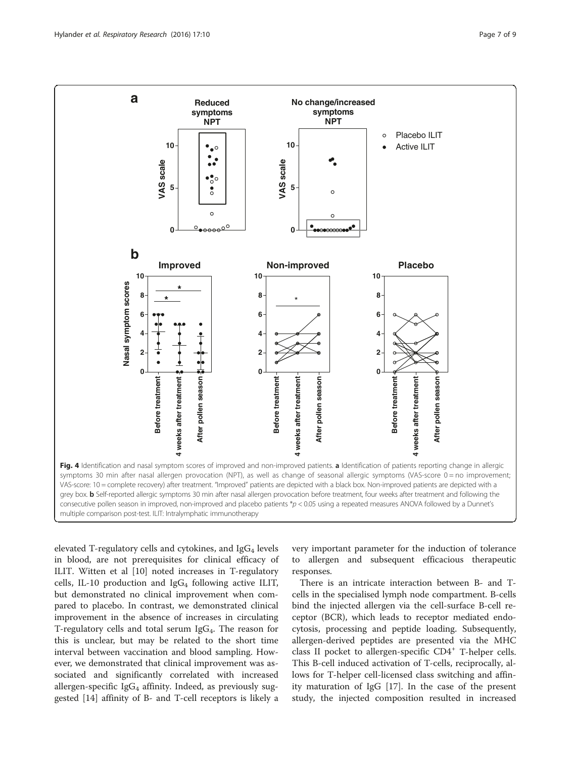<span id="page-6-0"></span>

elevated T-regulatory cells and cytokines, and  $IgG_4$  levels in blood, are not prerequisites for clinical efficacy of ILIT. Witten et al [\[10\]](#page-8-0) noted increases in T-regulatory cells, IL-10 production and  $IgG_4$  following active ILIT, but demonstrated no clinical improvement when compared to placebo. In contrast, we demonstrated clinical improvement in the absence of increases in circulating T-regulatory cells and total serum  $I_{\rm g}G_4$ . The reason for this is unclear, but may be related to the short time interval between vaccination and blood sampling. However, we demonstrated that clinical improvement was associated and significantly correlated with increased allergen-specific  $IgG_4$  affinity. Indeed, as previously suggested [\[14](#page-8-0)] affinity of B- and T-cell receptors is likely a very important parameter for the induction of tolerance to allergen and subsequent efficacious therapeutic responses.

There is an intricate interaction between B- and Tcells in the specialised lymph node compartment. B-cells bind the injected allergen via the cell-surface B-cell receptor (BCR), which leads to receptor mediated endocytosis, processing and peptide loading. Subsequently, allergen-derived peptides are presented via the MHC class II pocket to allergen-specific CD4<sup>+</sup> T-helper cells. This B-cell induced activation of T-cells, reciprocally, allows for T-helper cell-licensed class switching and affinity maturation of IgG [\[17](#page-8-0)]. In the case of the present study, the injected composition resulted in increased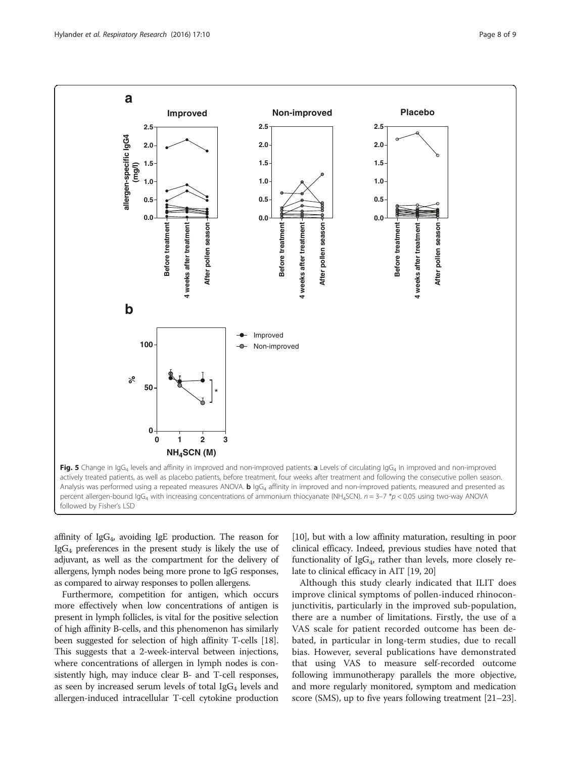<span id="page-7-0"></span>

affinity of  $\text{IgG}_4$ , avoiding IgE production. The reason for  $IgG_4$  preferences in the present study is likely the use of adjuvant, as well as the compartment for the delivery of allergens, lymph nodes being more prone to IgG responses, as compared to airway responses to pollen allergens.

Furthermore, competition for antigen, which occurs more effectively when low concentrations of antigen is present in lymph follicles, is vital for the positive selection of high affinity B-cells, and this phenomenon has similarly been suggested for selection of high affinity T-cells [[18](#page-8-0)]. This suggests that a 2-week-interval between injections, where concentrations of allergen in lymph nodes is consistently high, may induce clear B- and T-cell responses, as seen by increased serum levels of total  $I_{\text{g}}G_4$  levels and allergen-induced intracellular T-cell cytokine production

[[10](#page-8-0)], but with a low affinity maturation, resulting in poor clinical efficacy. Indeed, previous studies have noted that functionality of  $IgG_4$ , rather than levels, more closely relate to clinical efficacy in AIT [[19, 20\]](#page-8-0)

Although this study clearly indicated that ILIT does improve clinical symptoms of pollen-induced rhinoconjunctivitis, particularly in the improved sub-population, there are a number of limitations. Firstly, the use of a VAS scale for patient recorded outcome has been debated, in particular in long-term studies, due to recall bias. However, several publications have demonstrated that using VAS to measure self-recorded outcome following immunotherapy parallels the more objective, and more regularly monitored, symptom and medication score (SMS), up to five years following treatment [\[21](#page-8-0)–[23](#page-8-0)].